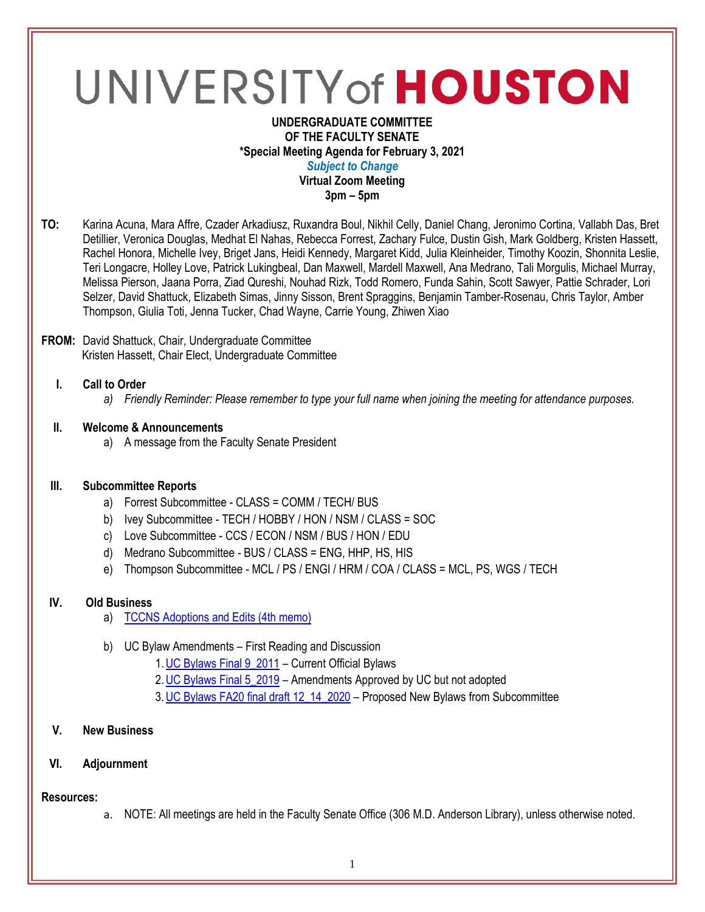# UNIVERSITY of HOUSTON

## **UNDERGRADUATE COMMITTEE OF THE FACULTY SENATE \*Special Meeting Agenda for February 3, 2021** *Subject to Change* **Virtual Zoom Meeting 3pm – 5pm**

**TO:** Karina Acuna, Mara Affre, Czader Arkadiusz, Ruxandra Boul, Nikhil Celly, Daniel Chang, Jeronimo Cortina, Vallabh Das, Bret Detillier, Veronica Douglas, Medhat El Nahas, Rebecca Forrest, Zachary Fulce, Dustin Gish, Mark Goldberg, Kristen Hassett, Rachel Honora, Michelle Ivey, Briget Jans, Heidi Kennedy, Margaret Kidd, Julia Kleinheider, Timothy Koozin, Shonnita Leslie, Teri Longacre, Holley Love, Patrick Lukingbeal, Dan Maxwell, Mardell Maxwell, Ana Medrano, Tali Morgulis, Michael Murray, Melissa Pierson, Jaana Porra, Ziad Qureshi, Nouhad Rizk, Todd Romero, Funda Sahin, Scott Sawyer, Pattie Schrader, Lori Selzer, David Shattuck, Elizabeth Simas, Jinny Sisson, Brent Spraggins, Benjamin Tamber-Rosenau, Chris Taylor, Amber Thompson, Giulia Toti, Jenna Tucker, Chad Wayne, Carrie Young, Zhiwen Xiao

## **FROM:** David Shattuck, Chair, Undergraduate Committee Kristen Hassett, Chair Elect, Undergraduate Committee

# **I. Call to Order**

*a) Friendly Reminder: Please remember to type your full name when joining the meeting for attendance purposes.*

## **II. Welcome & Announcements**

a) A message from the Faculty Senate President

#### **III. Subcommittee Reports**

- a) Forrest Subcommittee CLASS = COMM / TECH/ BUS
- b) Ivey Subcommittee TECH / HOBBY / HON / NSM / CLASS = SOC
- c) Love Subcommittee CCS / ECON / NSM / BUS / HON / EDU
- d) Medrano Subcommittee BUS / CLASS = ENG, HHP, HS, HIS
- e) Thompson Subcommittee MCL / PS / ENGI / HRM / COA / CLASS = MCL, PS, WGS / TECH

# **IV. Old Business**

- a) [TCCNS Adoptions and Edits \(4th memo\)](https://uofh.sharepoint.com/sites/uc/Lists/ProposalSubmissionAndTracking/DispForm.aspx?ID=2277)
- b) UC Bylaw Amendments First Reading and Discussion
	- 1[.UC Bylaws Final 9\\_2011](https://uofh.sharepoint.com/sites/uc/admin/Shared%20Documents/Bylaws/BYLAWS%20FALL%202020/UC%20Bylaws%20Final%209_2011.doc?d=wd0126a2f1d244a9991979d981384d3a5) Current Official Bylaws
	- 2. UC Bylaws Final 5 2019 Amendments Approved by UC but not adopted
	- 3. UC Bylaws FA20 final draft 12\_14\_2020 Proposed New Bylaws from Subcommittee

## **V. New Business**

## **VI. Adjournment**

## **Resources:**

a. NOTE: All meetings are held in the Faculty Senate Office (306 M.D. Anderson Library), unless otherwise noted.